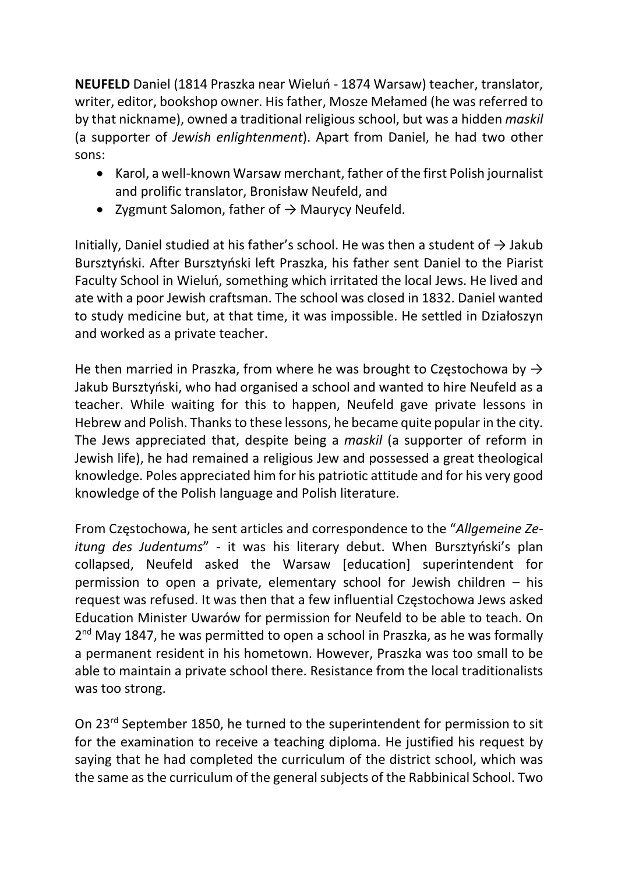NEUFELD Daniel (1814 Praszka near Wieluń - 1874 Warsaw) teacher, translator, writer, editor, bookshop owner. His father, Mosze Mełamed (he was referred to by that nickname), owned a traditional religious school, but was a hidden maskil (a supporter of Jewish enlightenment). Apart from Daniel, he had two other sons:

- Karol, a well-known Warsaw merchant, father of the first Polish journalist and prolific translator, Bronisław Neufeld, and
- Zygmunt Salomon, father of  $\rightarrow$  Maurycy Neufeld.

Initially, Daniel studied at his father's school. He was then a student of  $\rightarrow$  Jakub Bursztyński. After Bursztyński left Praszka, his father sent Daniel to the Piarist Faculty School in Wieluń, something which irritated the local Jews. He lived and ate with a poor Jewish craftsman. The school was closed in 1832. Daniel wanted to study medicine but, at that time, it was impossible. He settled in Działoszyn and worked as a private teacher.

He then married in Praszka, from where he was brought to Częstochowa by  $\rightarrow$ Jakub Bursztyński, who had organised a school and wanted to hire Neufeld as a teacher. While waiting for this to happen, Neufeld gave private lessons in Hebrew and Polish. Thanks to these lessons, he became quite popular in the city. The Jews appreciated that, despite being a maskil (a supporter of reform in Jewish life), he had remained a religious Jew and possessed a great theological knowledge. Poles appreciated him for his patriotic attitude and for his very good knowledge of the Polish language and Polish literature.

From Częstochowa, he sent articles and correspondence to the "Allgemeine Zeitung des Judentums" - it was his literary debut. When Bursztyński's plan collapsed, Neufeld asked the Warsaw [education] superintendent for permission to open a private, elementary school for Jewish children – his request was refused. It was then that a few influential Częstochowa Jews asked Education Minister Uwarów for permission for Neufeld to be able to teach. On 2<sup>nd</sup> May 1847, he was permitted to open a school in Praszka, as he was formally a permanent resident in his hometown. However, Praszka was too small to be able to maintain a private school there. Resistance from the local traditionalists was too strong.

On 23rd September 1850, he turned to the superintendent for permission to sit for the examination to receive a teaching diploma. He justified his request by saying that he had completed the curriculum of the district school, which was the same as the curriculum of the general subjects of the Rabbinical School. Two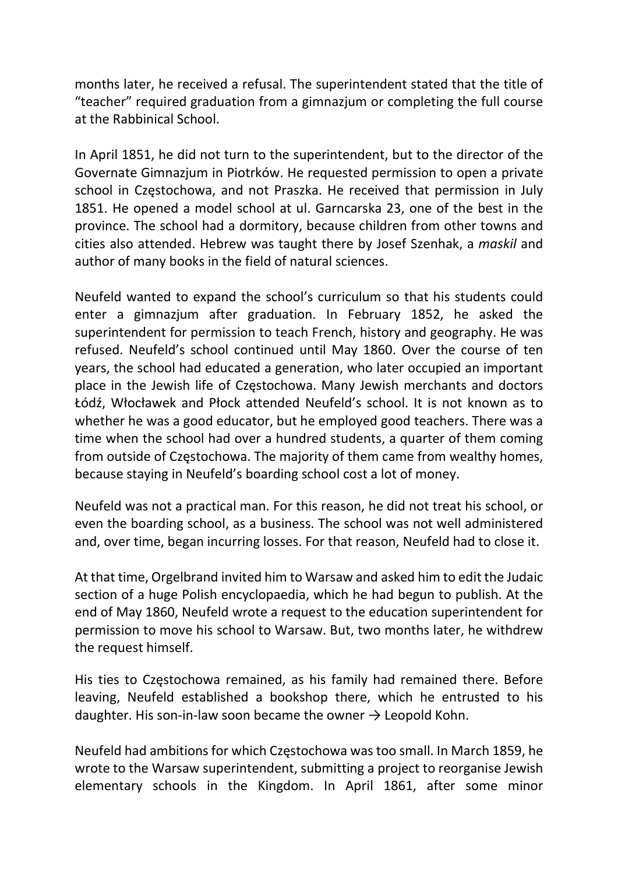months later, he received a refusal. The superintendent stated that the title of "teacher" required graduation from a gimnazjum or completing the full course at the Rabbinical School.

In April 1851, he did not turn to the superintendent, but to the director of the Governate Gimnazjum in Piotrków. He requested permission to open a private school in Częstochowa, and not Praszka. He received that permission in July 1851. He opened a model school at ul. Garncarska 23, one of the best in the province. The school had a dormitory, because children from other towns and cities also attended. Hebrew was taught there by Josef Szenhak, a maskil and author of many books in the field of natural sciences.

Neufeld wanted to expand the school's curriculum so that his students could enter a gimnazjum after graduation. In February 1852, he asked the superintendent for permission to teach French, history and geography. He was refused. Neufeld's school continued until May 1860. Over the course of ten years, the school had educated a generation, who later occupied an important place in the Jewish life of Częstochowa. Many Jewish merchants and doctors Łódź, Włocławek and Płock attended Neufeld's school. It is not known as to whether he was a good educator, but he employed good teachers. There was a time when the school had over a hundred students, a quarter of them coming from outside of Częstochowa. The majority of them came from wealthy homes, because staying in Neufeld's boarding school cost a lot of money.

Neufeld was not a practical man. For this reason, he did not treat his school, or even the boarding school, as a business. The school was not well administered and, over time, began incurring losses. For that reason, Neufeld had to close it.

At that time, Orgelbrand invited him to Warsaw and asked him to edit the Judaic section of a huge Polish encyclopaedia, which he had begun to publish. At the end of May 1860, Neufeld wrote a request to the education superintendent for permission to move his school to Warsaw. But, two months later, he withdrew the request himself.

His ties to Częstochowa remained, as his family had remained there. Before leaving, Neufeld established a bookshop there, which he entrusted to his daughter. His son-in-law soon became the owner  $\rightarrow$  Leopold Kohn.

Neufeld had ambitions for which Częstochowa was too small. In March 1859, he wrote to the Warsaw superintendent, submitting a project to reorganise Jewish elementary schools in the Kingdom. In April 1861, after some minor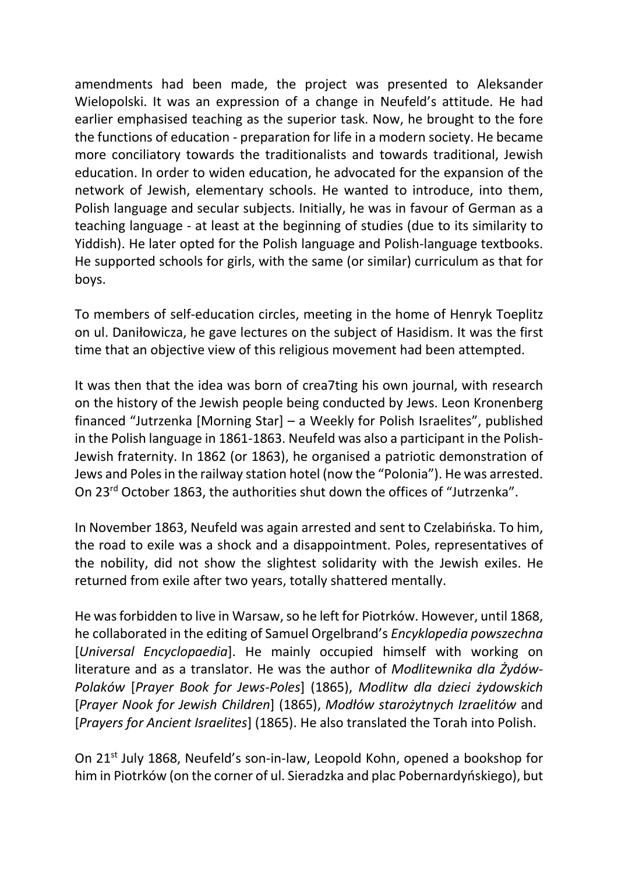amendments had been made, the project was presented to Aleksander Wielopolski. It was an expression of a change in Neufeld's attitude. He had earlier emphasised teaching as the superior task. Now, he brought to the fore the functions of education - preparation for life in a modern society. He became more conciliatory towards the traditionalists and towards traditional, Jewish education. In order to widen education, he advocated for the expansion of the network of Jewish, elementary schools. He wanted to introduce, into them, Polish language and secular subjects. Initially, he was in favour of German as a teaching language - at least at the beginning of studies (due to its similarity to Yiddish). He later opted for the Polish language and Polish-language textbooks. He supported schools for girls, with the same (or similar) curriculum as that for boys.

To members of self-education circles, meeting in the home of Henryk Toeplitz on ul. Daniłowicza, he gave lectures on the subject of Hasidism. It was the first time that an objective view of this religious movement had been attempted.

It was then that the idea was born of crea7ting his own journal, with research on the history of the Jewish people being conducted by Jews. Leon Kronenberg financed "Jutrzenka [Morning Star] – a Weekly for Polish Israelites", published in the Polish language in 1861-1863. Neufeld was also a participant in the Polish-Jewish fraternity. In 1862 (or 1863), he organised a patriotic demonstration of Jews and Poles in the railway station hotel (now the "Polonia"). He was arrested. On 23rd October 1863, the authorities shut down the offices of "Jutrzenka".

In November 1863, Neufeld was again arrested and sent to Czelabińska. To him, the road to exile was a shock and a disappointment. Poles, representatives of the nobility, did not show the slightest solidarity with the Jewish exiles. He returned from exile after two years, totally shattered mentally.

He was forbidden to live in Warsaw, so he left for Piotrków. However, until 1868, he collaborated in the editing of Samuel Orgelbrand's Encyklopedia powszechna [Universal Encyclopaedia]. He mainly occupied himself with working on literature and as a translator. He was the author of Modlitewnika dla Żydów-Polaków [Prayer Book for Jews-Poles] (1865), Modlitw dla dzieci żydowskich [Prayer Nook for Jewish Children] (1865), Modłów starożytnych Izraelitów and [Prayers for Ancient Israelites] (1865). He also translated the Torah into Polish.

On 21st July 1868, Neufeld's son-in-law, Leopold Kohn, opened a bookshop for him in Piotrków (on the corner of ul. Sieradzka and plac Pobernardyńskiego), but